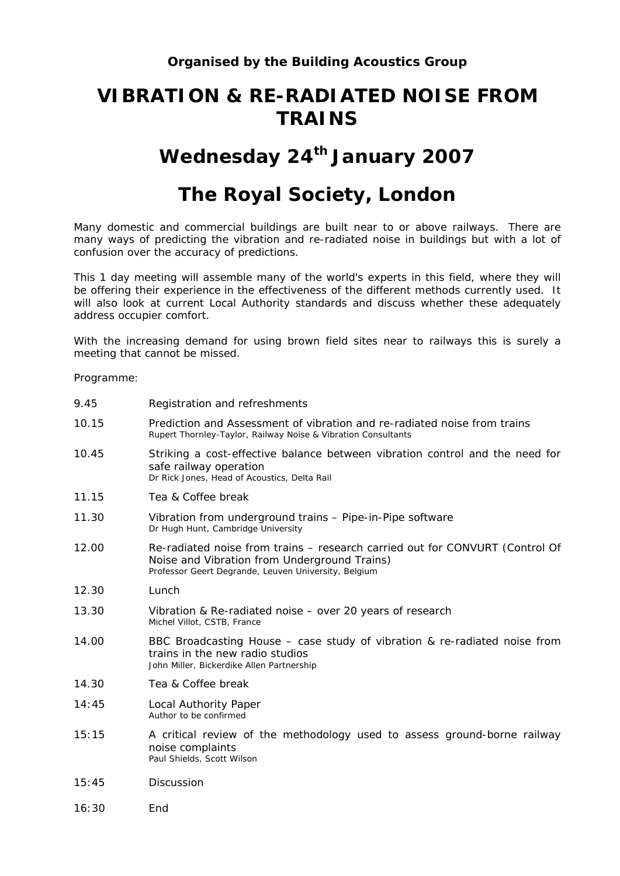## **VIBRATION & RE-RADIATED NOISE FROM TRAINS**

## Wednesday 24<sup>th</sup> January 2007

## **The Royal Society, London**

Many domestic and commercial buildings are built near to or above railways. There are many ways of predicting the vibration and re-radiated noise in buildings but with a lot of confusion over the accuracy of predictions.

This 1 day meeting will assemble many of the world's experts in this field, where they will be offering their experience in the effectiveness of the different methods currently used. It will also look at current Local Authority standards and discuss whether these adequately address occupier comfort.

With the increasing demand for using brown field sites near to railways this is surely a meeting that cannot be missed.

Programme:

| 9.45  | Registration and refreshments                                                                                                                                                        |
|-------|--------------------------------------------------------------------------------------------------------------------------------------------------------------------------------------|
| 10.15 | Prediction and Assessment of vibration and re-radiated noise from trains<br>Rupert Thornley-Taylor, Railway Noise & Vibration Consultants                                            |
| 10.45 | Striking a cost-effective balance between vibration control and the need for<br>safe railway operation<br>Dr Rick Jones, Head of Acoustics, Delta Rail                               |
| 11.15 | Tea & Coffee break                                                                                                                                                                   |
| 11.30 | Vibration from underground trains - Pipe-in-Pipe software<br>Dr Hugh Hunt, Cambridge University                                                                                      |
| 12.00 | Re-radiated noise from trains – research carried out for CONVURT (Control Of<br>Noise and Vibration from Underground Trains)<br>Professor Geert Degrande, Leuven University, Belgium |
| 12.30 | Lunch                                                                                                                                                                                |
| 13.30 | Vibration & Re-radiated noise – over 20 years of research<br>Michel Villot, CSTB, France                                                                                             |
| 14.00 | BBC Broadcasting House – case study of vibration & re-radiated noise from<br>trains in the new radio studios<br>John Miller, Bickerdike Allen Partnership                            |
| 14.30 | Tea & Coffee break                                                                                                                                                                   |
| 14:45 | Local Authority Paper<br>Author to be confirmed                                                                                                                                      |
| 15:15 | A critical review of the methodology used to assess ground-borne railway<br>noise complaints<br>Paul Shields, Scott Wilson                                                           |
| 15:45 | Discussion                                                                                                                                                                           |
| 16:30 | End                                                                                                                                                                                  |